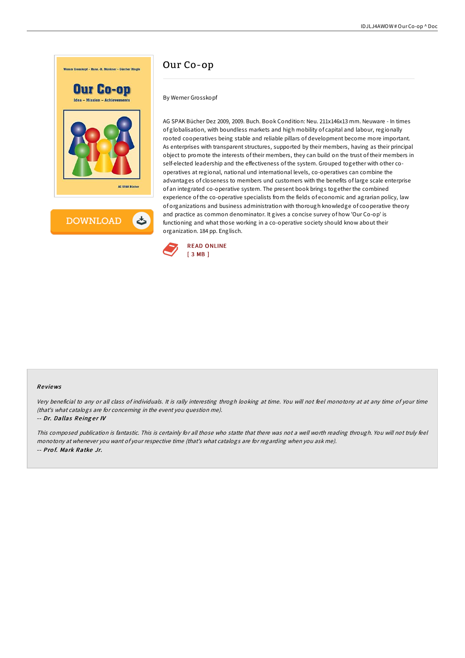

## Our Co-op

By Werner Grosskopf

AG SPAK Bücher Dez 2009, 2009. Buch. Book Condition: Neu. 211x146x13 mm. Neuware - In times of globalisation, with boundless markets and high mobility of capital and labour, regionally rooted cooperatives being stable and reliable pillars of development become more important. As enterprises with transparent structures, supported by their members, having as their principal object to promote the interests of their members, they can build on the trust of their members in self-elected leadership and the effectiveness of the system. Grouped together with other cooperatives at regional, national und international levels, co-operatives can combine the advantages of closeness to members und customers with the benefits of large scale enterprise of an integrated co-operative system. The present book brings together the combined experience of the co-operative specialists from the fields of economic and agrarian policy, law of organizations and business administration with thorough knowledge of cooperative theory and practice as common denominator. It gives a concise survey of how 'Our Co-op' is functioning and what those working in a co-operative society should know about their organization. 184 pp. Englisch.



#### Re views

Very beneficial to any or all class of individuals. It is rally interesting throgh looking at time. You will not feel monotony at at any time of your time (that's what catalogs are for concerning in the event you question me).

#### -- Dr. Dallas Reinger IV

This composed publication is fantastic. This is certainly for all those who statte that there was not <sup>a</sup> well worth reading through. You will not truly feel monotony at whenever you want of your respective time (that's what catalogs are for regarding when you ask me). -- Pro f. Mark Ratke Jr.